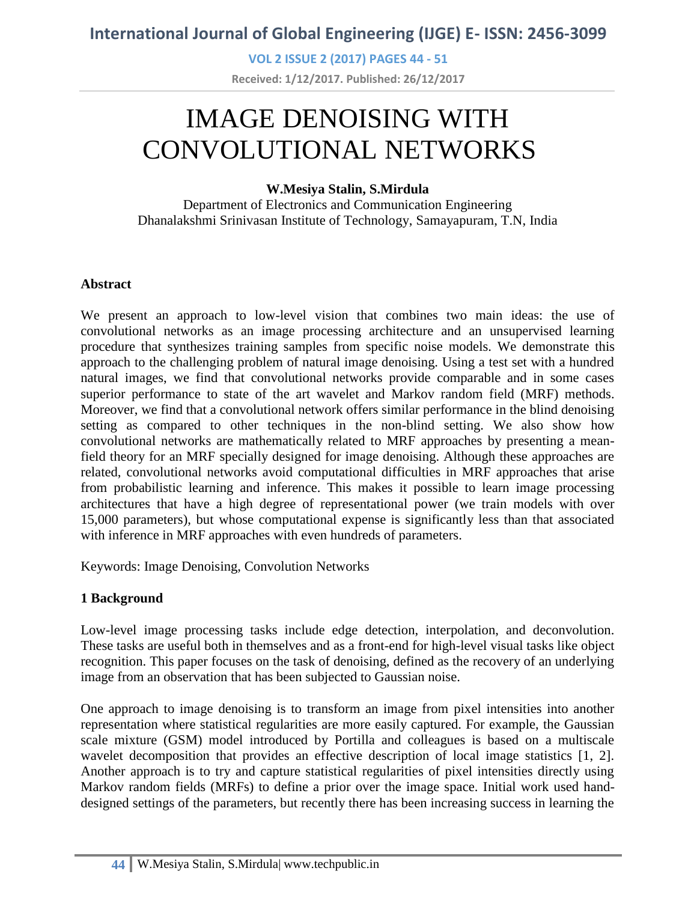**VOL 2 ISSUE 2 (2017) PAGES 44 - 51**

**Received: 1/12/2017. Published: 26/12/2017**

# IMAGE DENOISING WITH CONVOLUTIONAL NETWORKS

### **W.Mesiya Stalin, S.Mirdula**

Department of Electronics and Communication Engineering Dhanalakshmi Srinivasan Institute of Technology, Samayapuram, T.N, India

### **Abstract**

We present an approach to low-level vision that combines two main ideas: the use of convolutional networks as an image processing architecture and an unsupervised learning procedure that synthesizes training samples from specific noise models. We demonstrate this approach to the challenging problem of natural image denoising. Using a test set with a hundred natural images, we find that convolutional networks provide comparable and in some cases superior performance to state of the art wavelet and Markov random field (MRF) methods. Moreover, we find that a convolutional network offers similar performance in the blind denoising setting as compared to other techniques in the non-blind setting. We also show how convolutional networks are mathematically related to MRF approaches by presenting a meanfield theory for an MRF specially designed for image denoising. Although these approaches are related, convolutional networks avoid computational difficulties in MRF approaches that arise from probabilistic learning and inference. This makes it possible to learn image processing architectures that have a high degree of representational power (we train models with over 15,000 parameters), but whose computational expense is significantly less than that associated with inference in MRF approaches with even hundreds of parameters.

Keywords: Image Denoising, Convolution Networks

### **1 Background**

Low-level image processing tasks include edge detection, interpolation, and deconvolution. These tasks are useful both in themselves and as a front-end for high-level visual tasks like object recognition. This paper focuses on the task of denoising, defined as the recovery of an underlying image from an observation that has been subjected to Gaussian noise.

One approach to image denoising is to transform an image from pixel intensities into another representation where statistical regularities are more easily captured. For example, the Gaussian scale mixture (GSM) model introduced by Portilla and colleagues is based on a multiscale wavelet decomposition that provides an effective description of local image statistics [1, 2]. Another approach is to try and capture statistical regularities of pixel intensities directly using Markov random fields (MRFs) to define a prior over the image space. Initial work used handdesigned settings of the parameters, but recently there has been increasing success in learning the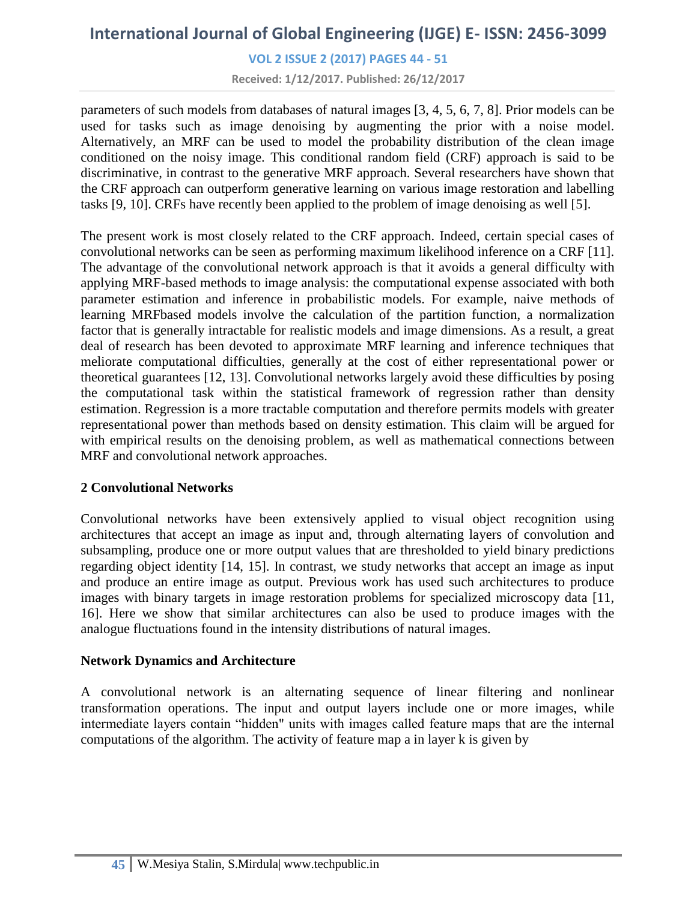**VOL 2 ISSUE 2 (2017) PAGES 44 - 51**

**Received: 1/12/2017. Published: 26/12/2017**

parameters of such models from databases of natural images [3, 4, 5, 6, 7, 8]. Prior models can be used for tasks such as image denoising by augmenting the prior with a noise model. Alternatively, an MRF can be used to model the probability distribution of the clean image conditioned on the noisy image. This conditional random field (CRF) approach is said to be discriminative, in contrast to the generative MRF approach. Several researchers have shown that the CRF approach can outperform generative learning on various image restoration and labelling tasks [9, 10]. CRFs have recently been applied to the problem of image denoising as well [5].

The present work is most closely related to the CRF approach. Indeed, certain special cases of convolutional networks can be seen as performing maximum likelihood inference on a CRF [11]. The advantage of the convolutional network approach is that it avoids a general difficulty with applying MRF-based methods to image analysis: the computational expense associated with both parameter estimation and inference in probabilistic models. For example, naive methods of learning MRFbased models involve the calculation of the partition function, a normalization factor that is generally intractable for realistic models and image dimensions. As a result, a great deal of research has been devoted to approximate MRF learning and inference techniques that meliorate computational difficulties, generally at the cost of either representational power or theoretical guarantees [12, 13]. Convolutional networks largely avoid these difficulties by posing the computational task within the statistical framework of regression rather than density estimation. Regression is a more tractable computation and therefore permits models with greater representational power than methods based on density estimation. This claim will be argued for with empirical results on the denoising problem, as well as mathematical connections between MRF and convolutional network approaches.

### **2 Convolutional Networks**

Convolutional networks have been extensively applied to visual object recognition using architectures that accept an image as input and, through alternating layers of convolution and subsampling, produce one or more output values that are thresholded to yield binary predictions regarding object identity [14, 15]. In contrast, we study networks that accept an image as input and produce an entire image as output. Previous work has used such architectures to produce images with binary targets in image restoration problems for specialized microscopy data [11, 16]. Here we show that similar architectures can also be used to produce images with the analogue fluctuations found in the intensity distributions of natural images.

#### **Network Dynamics and Architecture**

A convolutional network is an alternating sequence of linear filtering and nonlinear transformation operations. The input and output layers include one or more images, while intermediate layers contain "hidden" units with images called feature maps that are the internal computations of the algorithm. The activity of feature map a in layer k is given by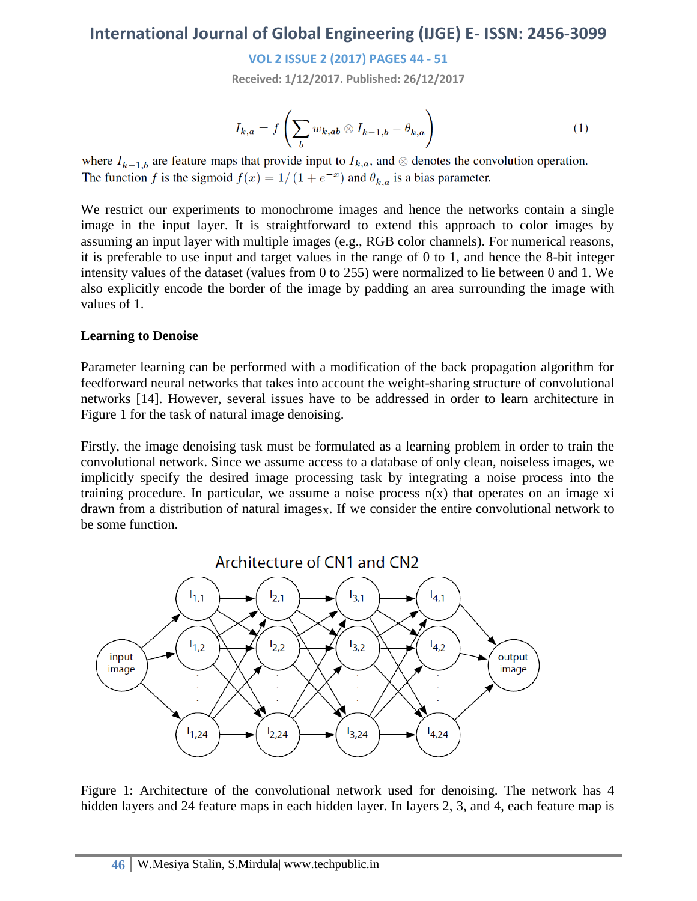**VOL 2 ISSUE 2 (2017) PAGES 44 - 51**

**Received: 1/12/2017. Published: 26/12/2017**

$$
I_{k,a} = f\left(\sum_{b} w_{k,ab} \otimes I_{k-1,b} - \theta_{k,a}\right) \tag{1}
$$

where  $I_{k-1,b}$  are feature maps that provide input to  $I_{k,a}$ , and  $\otimes$  denotes the convolution operation. The function f is the sigmoid  $f(x) = 1/(1 + e^{-x})$  and  $\theta_{k,a}$  is a bias parameter.

We restrict our experiments to monochrome images and hence the networks contain a single image in the input layer. It is straightforward to extend this approach to color images by assuming an input layer with multiple images (e.g., RGB color channels). For numerical reasons, it is preferable to use input and target values in the range of 0 to 1, and hence the 8-bit integer intensity values of the dataset (values from 0 to 255) were normalized to lie between 0 and 1. We also explicitly encode the border of the image by padding an area surrounding the image with values of 1.

#### **Learning to Denoise**

Parameter learning can be performed with a modification of the back propagation algorithm for feedforward neural networks that takes into account the weight-sharing structure of convolutional networks [14]. However, several issues have to be addressed in order to learn architecture in Figure 1 for the task of natural image denoising.

Firstly, the image denoising task must be formulated as a learning problem in order to train the convolutional network. Since we assume access to a database of only clean, noiseless images, we implicitly specify the desired image processing task by integrating a noise process into the training procedure. In particular, we assume a noise process  $n(x)$  that operates on an image xi drawn from a distribution of natural images $<sub>x</sub>$ . If we consider the entire convolutional network to</sub> be some function.



Figure 1: Architecture of the convolutional network used for denoising. The network has 4 hidden layers and 24 feature maps in each hidden layer. In layers 2, 3, and 4, each feature map is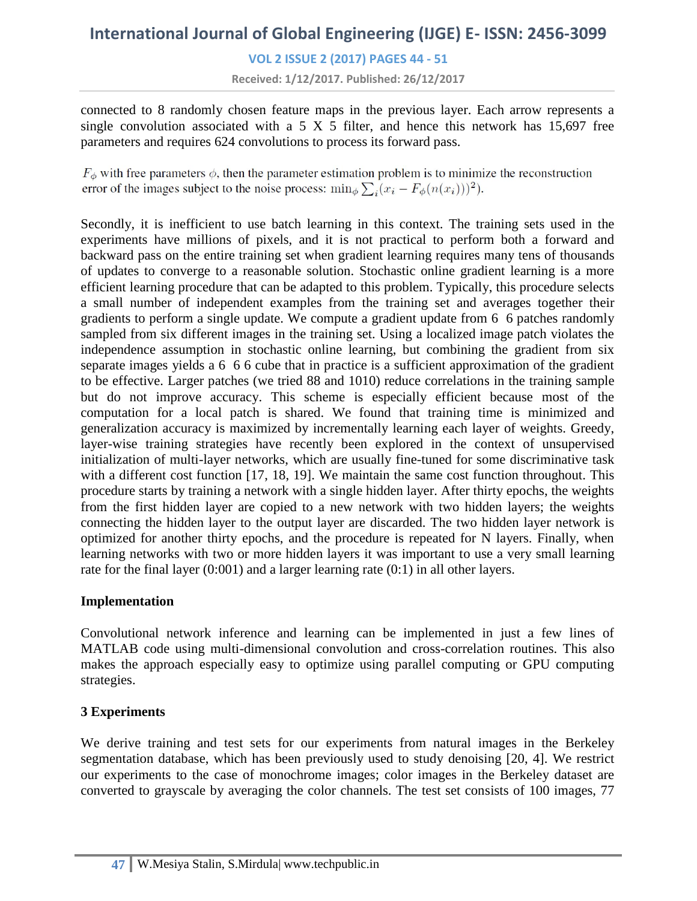**VOL 2 ISSUE 2 (2017) PAGES 44 - 51**

**Received: 1/12/2017. Published: 26/12/2017**

connected to 8 randomly chosen feature maps in the previous layer. Each arrow represents a single convolution associated with a 5 X 5 filter, and hence this network has  $15.697$  free parameters and requires 624 convolutions to process its forward pass.

 $F_{\phi}$  with free parameters  $\phi$ , then the parameter estimation problem is to minimize the reconstruction error of the images subject to the noise process:  $\min_{\phi} \sum_{i} (x_i - F_{\phi}(n(x_i)))^2$ .

Secondly, it is inefficient to use batch learning in this context. The training sets used in the experiments have millions of pixels, and it is not practical to perform both a forward and backward pass on the entire training set when gradient learning requires many tens of thousands of updates to converge to a reasonable solution. Stochastic online gradient learning is a more efficient learning procedure that can be adapted to this problem. Typically, this procedure selects a small number of independent examples from the training set and averages together their gradients to perform a single update. We compute a gradient update from 6 6 patches randomly sampled from six different images in the training set. Using a localized image patch violates the independence assumption in stochastic online learning, but combining the gradient from six separate images yields a 6 6 6 cube that in practice is a sufficient approximation of the gradient to be effective. Larger patches (we tried 88 and 1010) reduce correlations in the training sample but do not improve accuracy. This scheme is especially efficient because most of the computation for a local patch is shared. We found that training time is minimized and generalization accuracy is maximized by incrementally learning each layer of weights. Greedy, layer-wise training strategies have recently been explored in the context of unsupervised initialization of multi-layer networks, which are usually fine-tuned for some discriminative task with a different cost function [17, 18, 19]. We maintain the same cost function throughout. This procedure starts by training a network with a single hidden layer. After thirty epochs, the weights from the first hidden layer are copied to a new network with two hidden layers; the weights connecting the hidden layer to the output layer are discarded. The two hidden layer network is optimized for another thirty epochs, and the procedure is repeated for N layers. Finally, when learning networks with two or more hidden layers it was important to use a very small learning rate for the final layer (0:001) and a larger learning rate (0:1) in all other layers.

#### **Implementation**

Convolutional network inference and learning can be implemented in just a few lines of MATLAB code using multi-dimensional convolution and cross-correlation routines. This also makes the approach especially easy to optimize using parallel computing or GPU computing strategies.

### **3 Experiments**

We derive training and test sets for our experiments from natural images in the Berkeley segmentation database, which has been previously used to study denoising [20, 4]. We restrict our experiments to the case of monochrome images; color images in the Berkeley dataset are converted to grayscale by averaging the color channels. The test set consists of 100 images, 77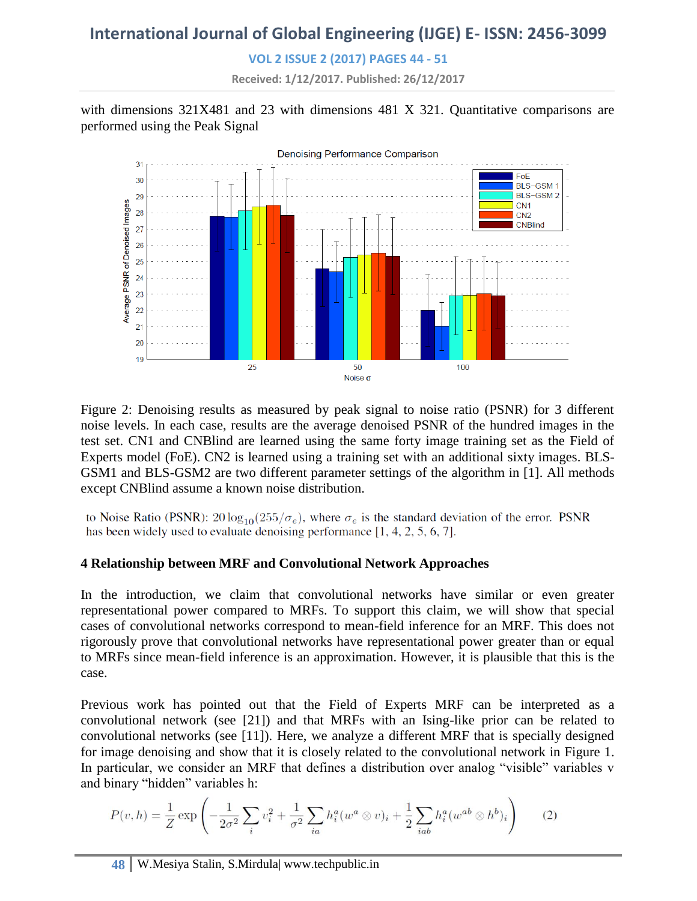**VOL 2 ISSUE 2 (2017) PAGES 44 - 51**

**Received: 1/12/2017. Published: 26/12/2017**

with dimensions 321X481 and 23 with dimensions 481 X 321. Quantitative comparisons are performed using the Peak Signal



Figure 2: Denoising results as measured by peak signal to noise ratio (PSNR) for 3 different noise levels. In each case, results are the average denoised PSNR of the hundred images in the test set. CN1 and CNBlind are learned using the same forty image training set as the Field of Experts model (FoE). CN2 is learned using a training set with an additional sixty images. BLS-GSM1 and BLS-GSM2 are two different parameter settings of the algorithm in [1]. All methods except CNBlind assume a known noise distribution.

to Noise Ratio (PSNR):  $20 \log_{10}(255/\sigma_e)$ , where  $\sigma_e$  is the standard deviation of the error. PSNR has been widely used to evaluate denoising performance  $[1, 4, 2, 5, 6, 7]$ .

### **4 Relationship between MRF and Convolutional Network Approaches**

In the introduction, we claim that convolutional networks have similar or even greater representational power compared to MRFs. To support this claim, we will show that special cases of convolutional networks correspond to mean-field inference for an MRF. This does not rigorously prove that convolutional networks have representational power greater than or equal to MRFs since mean-field inference is an approximation. However, it is plausible that this is the case.

Previous work has pointed out that the Field of Experts MRF can be interpreted as a convolutional network (see [21]) and that MRFs with an Ising-like prior can be related to convolutional networks (see [11]). Here, we analyze a different MRF that is specially designed for image denoising and show that it is closely related to the convolutional network in Figure 1. In particular, we consider an MRF that defines a distribution over analog "visible" variables v and binary "hidden" variables h:

$$
P(v,h) = \frac{1}{Z} \exp\left(-\frac{1}{2\sigma^2} \sum_{i} v_i^2 + \frac{1}{\sigma^2} \sum_{ia} h_i^a (w^a \otimes v)_i + \frac{1}{2} \sum_{iab} h_i^a (w^{ab} \otimes h^b)_i\right)
$$
(2)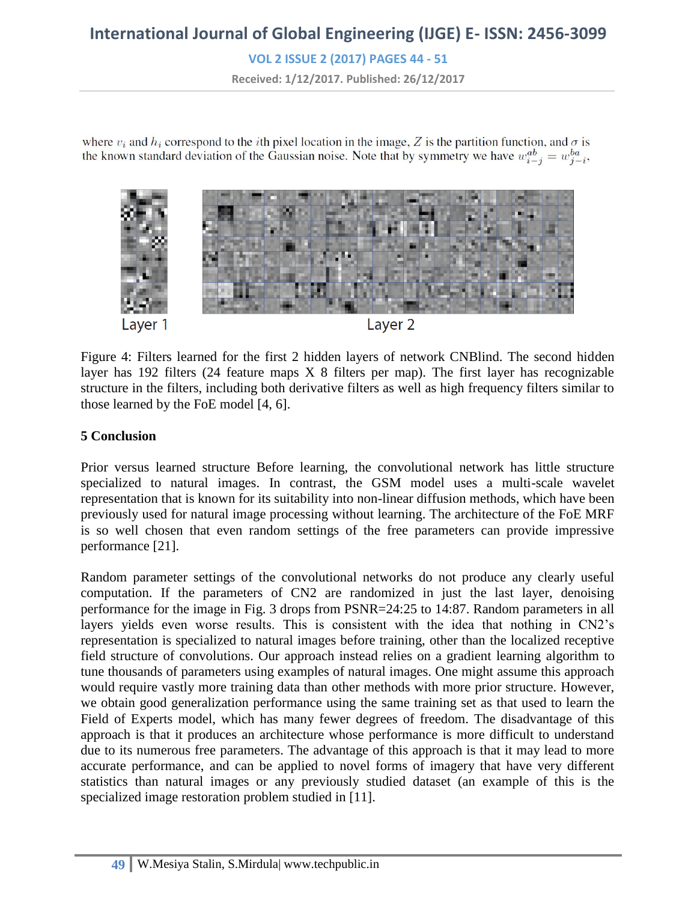**VOL 2 ISSUE 2 (2017) PAGES 44 - 51**

**Received: 1/12/2017. Published: 26/12/2017**

where  $v_i$  and  $h_i$  correspond to the *i*th pixel location in the image, Z is the partition function, and  $\sigma$  is the known standard deviation of the Gaussian noise. Note that by symmetry we have  $w_{i-j}^{ab} = w_{j-i}^{ba}$ ,



Figure 4: Filters learned for the first 2 hidden layers of network CNBlind. The second hidden layer has 192 filters  $(24)$  feature maps X 8 filters per map). The first layer has recognizable structure in the filters, including both derivative filters as well as high frequency filters similar to those learned by the FoE model [4, 6].

#### **5 Conclusion**

Prior versus learned structure Before learning, the convolutional network has little structure specialized to natural images. In contrast, the GSM model uses a multi-scale wavelet representation that is known for its suitability into non-linear diffusion methods, which have been previously used for natural image processing without learning. The architecture of the FoE MRF is so well chosen that even random settings of the free parameters can provide impressive performance [21].

Random parameter settings of the convolutional networks do not produce any clearly useful computation. If the parameters of CN2 are randomized in just the last layer, denoising performance for the image in Fig. 3 drops from PSNR=24:25 to 14:87. Random parameters in all layers yields even worse results. This is consistent with the idea that nothing in CN2's representation is specialized to natural images before training, other than the localized receptive field structure of convolutions. Our approach instead relies on a gradient learning algorithm to tune thousands of parameters using examples of natural images. One might assume this approach would require vastly more training data than other methods with more prior structure. However, we obtain good generalization performance using the same training set as that used to learn the Field of Experts model, which has many fewer degrees of freedom. The disadvantage of this approach is that it produces an architecture whose performance is more difficult to understand due to its numerous free parameters. The advantage of this approach is that it may lead to more accurate performance, and can be applied to novel forms of imagery that have very different statistics than natural images or any previously studied dataset (an example of this is the specialized image restoration problem studied in [11].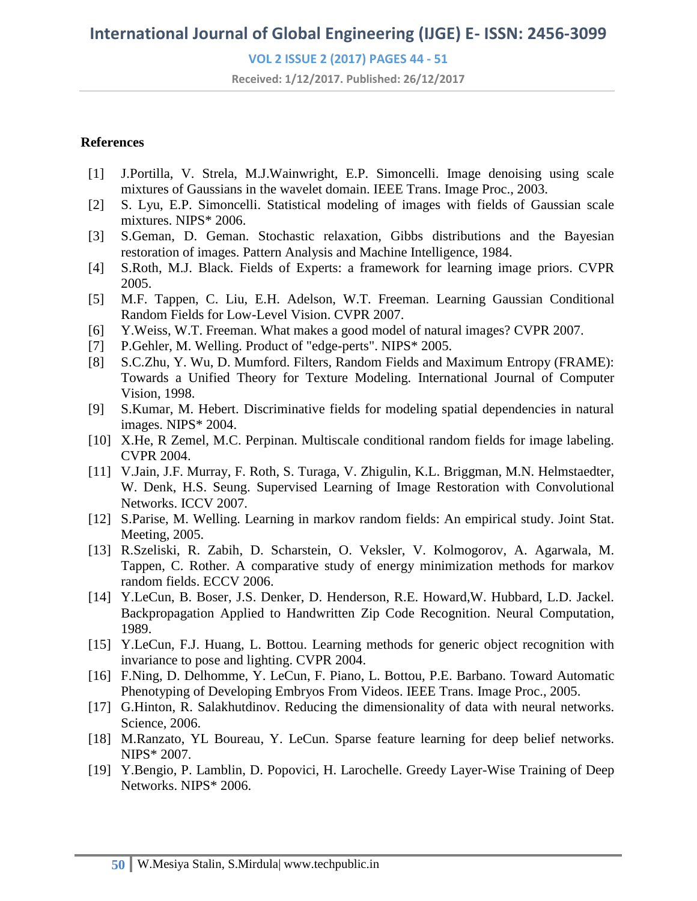**VOL 2 ISSUE 2 (2017) PAGES 44 - 51**

**Received: 1/12/2017. Published: 26/12/2017**

#### **References**

- [1] J.Portilla, V. Strela, M.J.Wainwright, E.P. Simoncelli. Image denoising using scale mixtures of Gaussians in the wavelet domain. IEEE Trans. Image Proc., 2003.
- [2] S. Lyu, E.P. Simoncelli. Statistical modeling of images with fields of Gaussian scale mixtures. NIPS\* 2006.
- [3] S.Geman, D. Geman. Stochastic relaxation, Gibbs distributions and the Bayesian restoration of images. Pattern Analysis and Machine Intelligence, 1984.
- [4] S.Roth, M.J. Black. Fields of Experts: a framework for learning image priors. CVPR 2005.
- [5] M.F. Tappen, C. Liu, E.H. Adelson, W.T. Freeman. Learning Gaussian Conditional Random Fields for Low-Level Vision. CVPR 2007.
- [6] Y.Weiss, W.T. Freeman. What makes a good model of natural images? CVPR 2007.
- [7] P.Gehler, M. Welling. Product of "edge-perts". NIPS\* 2005.
- [8] S.C.Zhu, Y. Wu, D. Mumford. Filters, Random Fields and Maximum Entropy (FRAME): Towards a Unified Theory for Texture Modeling. International Journal of Computer Vision, 1998.
- [9] S.Kumar, M. Hebert. Discriminative fields for modeling spatial dependencies in natural images. NIPS\* 2004.
- [10] X.He, R Zemel, M.C. Perpinan. Multiscale conditional random fields for image labeling. CVPR 2004.
- [11] V.Jain, J.F. Murray, F. Roth, S. Turaga, V. Zhigulin, K.L. Briggman, M.N. Helmstaedter, W. Denk, H.S. Seung. Supervised Learning of Image Restoration with Convolutional Networks. ICCV 2007.
- [12] S.Parise, M. Welling. Learning in markov random fields: An empirical study. Joint Stat. Meeting, 2005.
- [13] R.Szeliski, R. Zabih, D. Scharstein, O. Veksler, V. Kolmogorov, A. Agarwala, M. Tappen, C. Rother. A comparative study of energy minimization methods for markov random fields. ECCV 2006.
- [14] Y.LeCun, B. Boser, J.S. Denker, D. Henderson, R.E. Howard,W. Hubbard, L.D. Jackel. Backpropagation Applied to Handwritten Zip Code Recognition. Neural Computation, 1989.
- [15] Y.LeCun, F.J. Huang, L. Bottou. Learning methods for generic object recognition with invariance to pose and lighting. CVPR 2004.
- [16] F.Ning, D. Delhomme, Y. LeCun, F. Piano, L. Bottou, P.E. Barbano. Toward Automatic Phenotyping of Developing Embryos From Videos. IEEE Trans. Image Proc., 2005.
- [17] G.Hinton, R. Salakhutdinov. Reducing the dimensionality of data with neural networks. Science, 2006.
- [18] M.Ranzato, YL Boureau, Y. LeCun. Sparse feature learning for deep belief networks. NIPS\* 2007.
- [19] Y.Bengio, P. Lamblin, D. Popovici, H. Larochelle. Greedy Layer-Wise Training of Deep Networks. NIPS\* 2006.